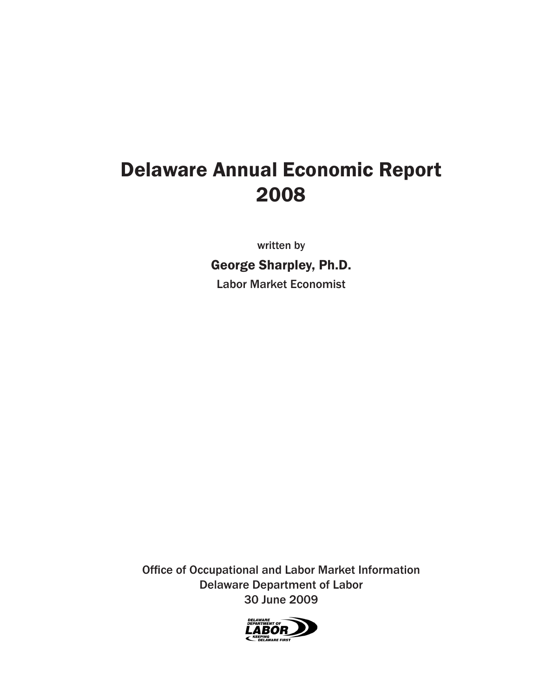# Delaware Annual Economic Report 2008

written by

George Sharpley, Ph.D. Labor Market Economist

Office of Occupational and Labor Market Information Delaware Department of Labor 30 June 2009

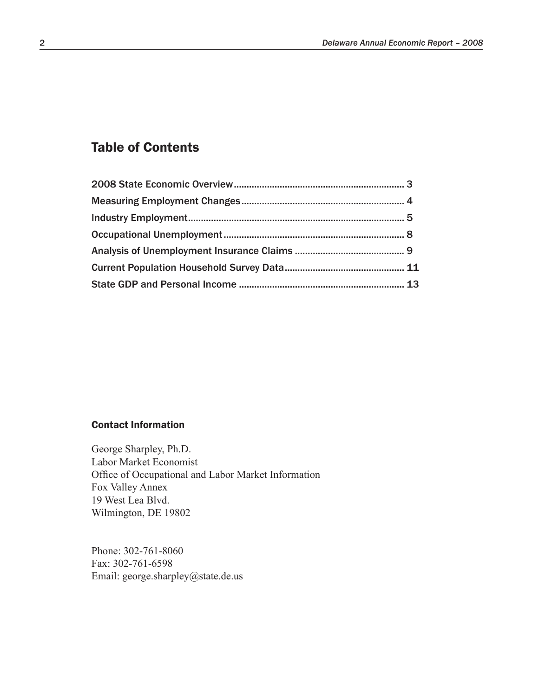## Table of Contents

#### Contact Information

George Sharpley, Ph.D. Labor Market Economist Office of Occupational and Labor Market Information Fox Valley Annex 19 West Lea Blvd. Wilmington, DE 19802

Phone: 302-761-8060 Fax: 302-761-6598 Email: george.sharpley@state.de.us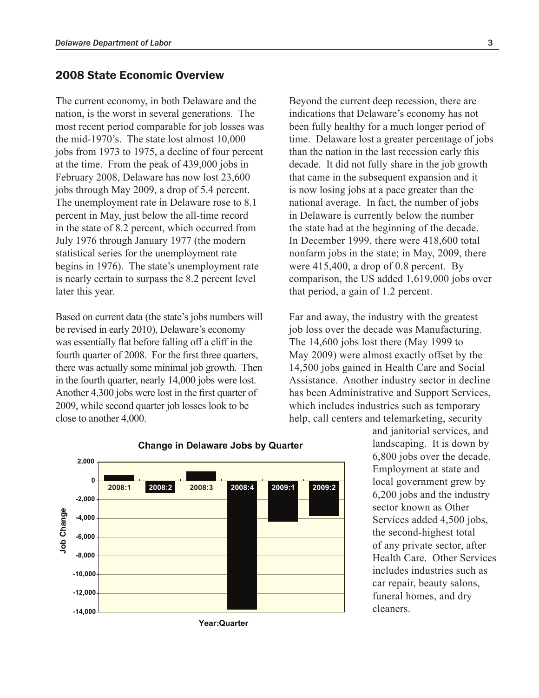## 2008 State Economic Overview

The current economy, in both Delaware and the nation, is the worst in several generations. The most recent period comparable for job losses was the mid-1970's. The state lost almost 10,000 jobs from 1973 to 1975, a decline of four percent at the time. From the peak of 439,000 jobs in February 2008, Delaware has now lost 23,600 jobs through May 2009, a drop of 5.4 percent. The unemployment rate in Delaware rose to 8.1 percent in May, just below the all-time record in the state of 8.2 percent, which occurred from July 1976 through January 1977 (the modern statistical series for the unemployment rate begins in 1976). The state's unemployment rate is nearly certain to surpass the 8.2 percent level later this year.

Based on current data (the state's jobs numbers will be revised in early 2010), Delaware's economy was essentially flat before falling off a cliff in the fourth quarter of 2008. For the first three quarters, there was actually some minimal job growth. Then in the fourth quarter, nearly 14,000 jobs were lost. Another 4,300 jobs were lost in the first quarter of 2009, while second quarter job losses look to be close to another 4,000.

Beyond the current deep recession, there are indications that Delaware's economy has not been fully healthy for a much longer period of time. Delaware lost a greater percentage of jobs than the nation in the last recession early this decade. It did not fully share in the job growth that came in the subsequent expansion and it is now losing jobs at a pace greater than the national average. In fact, the number of jobs in Delaware is currently below the number the state had at the beginning of the decade. In December 1999, there were 418,600 total nonfarm jobs in the state; in May, 2009, there were 415,400, a drop of 0.8 percent. By comparison, the US added 1,619,000 jobs over that period, a gain of 1.2 percent.

Far and away, the industry with the greatest job loss over the decade was Manufacturing. The 14,600 jobs lost there (May 1999 to May 2009) were almost exactly offset by the 14,500 jobs gained in Health Care and Social Assistance. Another industry sector in decline has been Administrative and Support Services, which includes industries such as temporary help, call centers and telemarketing, security

> and janitorial services, and landscaping. It is down by 6,800 jobs over the decade. Employment at state and local government grew by 6,200 jobs and the industry sector known as Other Services added 4,500 jobs, the second-highest total of any private sector, after Health Care. Other Services includes industries such as car repair, beauty salons, funeral homes, and dry cleaners.



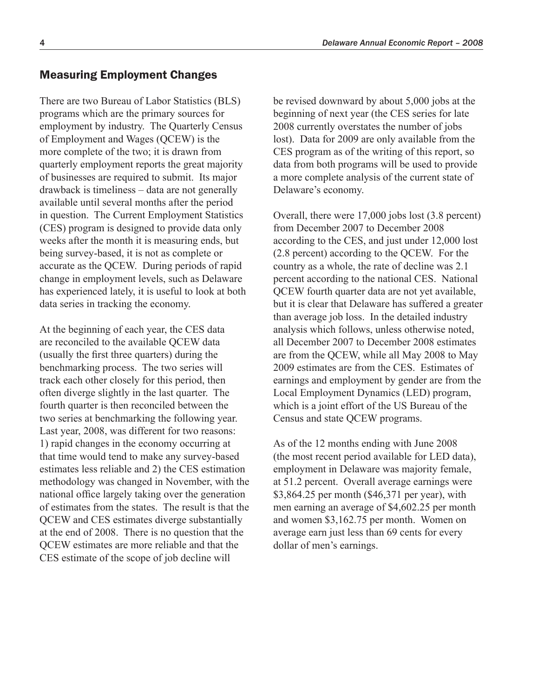## Measuring Employment Changes

There are two Bureau of Labor Statistics (BLS) programs which are the primary sources for employment by industry. The Quarterly Census of Employment and Wages (QCEW) is the more complete of the two; it is drawn from quarterly employment reports the great majority of businesses are required to submit. Its major drawback is timeliness – data are not generally available until several months after the period in question. The Current Employment Statistics (CES) program is designed to provide data only weeks after the month it is measuring ends, but being survey-based, it is not as complete or accurate as the QCEW. During periods of rapid change in employment levels, such as Delaware has experienced lately, it is useful to look at both data series in tracking the economy.

At the beginning of each year, the CES data are reconciled to the available QCEW data (usually the first three quarters) during the benchmarking process. The two series will track each other closely for this period, then often diverge slightly in the last quarter. The fourth quarter is then reconciled between the two series at benchmarking the following year. Last year, 2008, was different for two reasons: 1) rapid changes in the economy occurring at that time would tend to make any survey-based estimates less reliable and 2) the CES estimation methodology was changed in November, with the national office largely taking over the generation of estimates from the states. The result is that the QCEW and CES estimates diverge substantially at the end of 2008. There is no question that the QCEW estimates are more reliable and that the CES estimate of the scope of job decline will

be revised downward by about 5,000 jobs at the beginning of next year (the CES series for late 2008 currently overstates the number of jobs lost). Data for 2009 are only available from the CES program as of the writing of this report, so data from both programs will be used to provide a more complete analysis of the current state of Delaware's economy.

Overall, there were 17,000 jobs lost (3.8 percent) from December 2007 to December 2008 according to the CES, and just under 12,000 lost (2.8 percent) according to the QCEW. For the country as a whole, the rate of decline was 2.1 percent according to the national CES. National QCEW fourth quarter data are not yet available, but it is clear that Delaware has suffered a greater than average job loss. In the detailed industry analysis which follows, unless otherwise noted, all December 2007 to December 2008 estimates are from the QCEW, while all May 2008 to May 2009 estimates are from the CES. Estimates of earnings and employment by gender are from the Local Employment Dynamics (LED) program, which is a joint effort of the US Bureau of the Census and state QCEW programs.

As of the 12 months ending with June 2008 (the most recent period available for LED data), employment in Delaware was majority female, at 51.2 percent. Overall average earnings were \$3,864.25 per month (\$46,371 per year), with men earning an average of \$4,602.25 per month and women \$3,162.75 per month. Women on average earn just less than 69 cents for every dollar of men's earnings.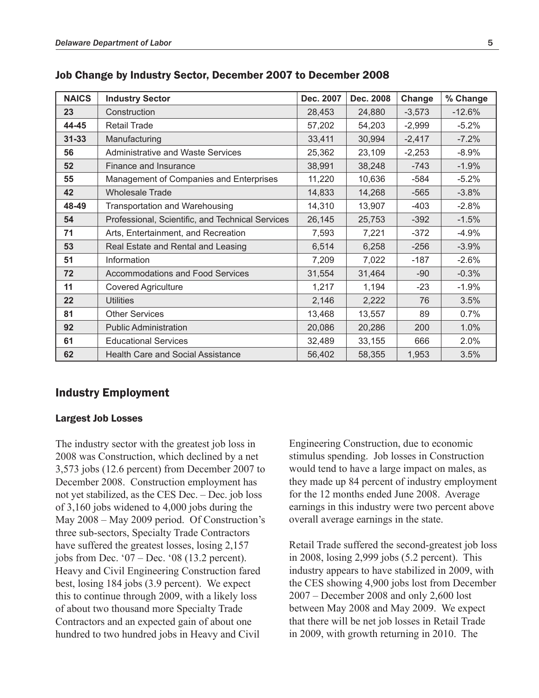| <b>NAICS</b> | <b>Industry Sector</b>                           | Dec. 2007 | Dec. 2008 | Change   | % Change |
|--------------|--------------------------------------------------|-----------|-----------|----------|----------|
| 23           | Construction                                     | 28,453    | 24,880    | $-3,573$ | $-12.6%$ |
| 44-45        | <b>Retail Trade</b>                              | 57,202    | 54,203    | $-2,999$ | $-5.2%$  |
| $31 - 33$    | Manufacturing                                    | 33,411    | 30,994    | $-2,417$ | $-7.2%$  |
| 56           | Administrative and Waste Services                | 25,362    | 23,109    | $-2,253$ | $-8.9%$  |
| 52           | Finance and Insurance                            | 38,991    | 38,248    | $-743$   | $-1.9%$  |
| 55           | Management of Companies and Enterprises          | 11,220    | 10,636    | $-584$   | $-5.2%$  |
| 42           | <b>Wholesale Trade</b>                           | 14,833    | 14,268    | $-565$   | $-3.8%$  |
| 48-49        | Transportation and Warehousing                   | 14,310    | 13,907    | $-403$   | $-2.8%$  |
| 54           | Professional, Scientific, and Technical Services | 26,145    | 25,753    | $-392$   | $-1.5%$  |
| 71           | Arts, Entertainment, and Recreation              | 7,593     | 7,221     | $-372$   | $-4.9%$  |
| 53           | Real Estate and Rental and Leasing               | 6,514     | 6,258     | $-256$   | $-3.9%$  |
| 51           | Information                                      | 7,209     | 7,022     | $-187$   | $-2.6%$  |
| 72           | <b>Accommodations and Food Services</b>          | 31,554    | 31,464    | $-90$    | $-0.3%$  |
| 11           | <b>Covered Agriculture</b>                       | 1,217     | 1,194     | $-23$    | $-1.9%$  |
| 22           | <b>Utilities</b>                                 | 2,146     | 2,222     | 76       | 3.5%     |
| 81           | <b>Other Services</b>                            | 13,468    | 13,557    | 89       | 0.7%     |
| 92           | <b>Public Administration</b>                     | 20,086    | 20,286    | 200      | 1.0%     |
| 61           | <b>Educational Services</b>                      | 32,489    | 33,155    | 666      | 2.0%     |
| 62           | <b>Health Care and Social Assistance</b>         | 56,402    | 58,355    | 1,953    | 3.5%     |

## Job Change by Industry Sector, December 2007 to December 2008

## Industry Employment

#### Largest Job Losses

The industry sector with the greatest job loss in 2008 was Construction, which declined by a net 3,573 jobs (12.6 percent) from December 2007 to December 2008. Construction employment has not yet stabilized, as the CES Dec. – Dec. job loss of 3,160 jobs widened to 4,000 jobs during the May 2008 – May 2009 period. Of Construction's three sub-sectors, Specialty Trade Contractors have suffered the greatest losses, losing 2,157 jobs from Dec. '07 – Dec. '08 (13.2 percent). Heavy and Civil Engineering Construction fared best, losing 184 jobs (3.9 percent). We expect this to continue through 2009, with a likely loss of about two thousand more Specialty Trade Contractors and an expected gain of about one hundred to two hundred jobs in Heavy and Civil

Engineering Construction, due to economic stimulus spending. Job losses in Construction would tend to have a large impact on males, as they made up 84 percent of industry employment for the 12 months ended June 2008. Average earnings in this industry were two percent above overall average earnings in the state.

Retail Trade suffered the second-greatest job loss in 2008, losing 2,999 jobs (5.2 percent). This industry appears to have stabilized in 2009, with the CES showing 4,900 jobs lost from December 2007 – December 2008 and only 2,600 lost between May 2008 and May 2009. We expect that there will be net job losses in Retail Trade in 2009, with growth returning in 2010. The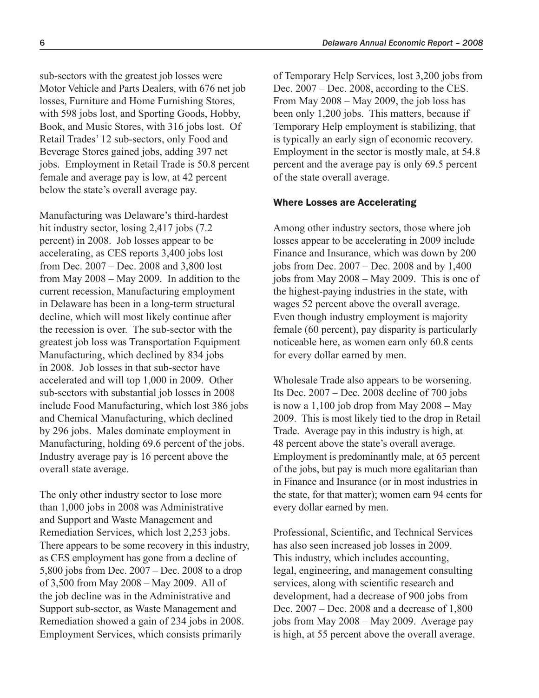sub-sectors with the greatest job losses were Motor Vehicle and Parts Dealers, with 676 net job losses, Furniture and Home Furnishing Stores, with 598 jobs lost, and Sporting Goods, Hobby, Book, and Music Stores, with 316 jobs lost. Of Retail Trades' 12 sub-sectors, only Food and Beverage Stores gained jobs, adding 397 net jobs. Employment in Retail Trade is 50.8 percent female and average pay is low, at 42 percent below the state's overall average pay.

Manufacturing was Delaware's third-hardest hit industry sector, losing 2,417 jobs (7.2) percent) in 2008. Job losses appear to be accelerating, as CES reports 3,400 jobs lost from Dec. 2007 – Dec. 2008 and 3,800 lost from May 2008 – May 2009. In addition to the current recession, Manufacturing employment in Delaware has been in a long-term structural decline, which will most likely continue after the recession is over. The sub-sector with the greatest job loss was Transportation Equipment Manufacturing, which declined by 834 jobs in 2008. Job losses in that sub-sector have accelerated and will top 1,000 in 2009. Other sub-sectors with substantial job losses in 2008 include Food Manufacturing, which lost 386 jobs and Chemical Manufacturing, which declined by 296 jobs. Males dominate employment in Manufacturing, holding 69.6 percent of the jobs. Industry average pay is 16 percent above the overall state average.

The only other industry sector to lose more than 1,000 jobs in 2008 was Administrative and Support and Waste Management and Remediation Services, which lost 2,253 jobs. There appears to be some recovery in this industry, as CES employment has gone from a decline of 5,800 jobs from Dec. 2007 – Dec. 2008 to a drop of 3,500 from May 2008 – May 2009. All of the job decline was in the Administrative and Support sub-sector, as Waste Management and Remediation showed a gain of 234 jobs in 2008. Employment Services, which consists primarily

of Temporary Help Services, lost 3,200 jobs from Dec. 2007 – Dec. 2008, according to the CES. From May 2008 – May 2009, the job loss has been only 1,200 jobs. This matters, because if Temporary Help employment is stabilizing, that is typically an early sign of economic recovery. Employment in the sector is mostly male, at 54.8 percent and the average pay is only 69.5 percent of the state overall average.

#### Where Losses are Accelerating

Among other industry sectors, those where job losses appear to be accelerating in 2009 include Finance and Insurance, which was down by 200 jobs from Dec. 2007 – Dec. 2008 and by 1,400 jobs from May 2008 – May 2009. This is one of the highest-paying industries in the state, with wages 52 percent above the overall average. Even though industry employment is majority female (60 percent), pay disparity is particularly noticeable here, as women earn only 60.8 cents for every dollar earned by men.

Wholesale Trade also appears to be worsening. Its Dec. 2007 – Dec. 2008 decline of 700 jobs is now a  $1,100$  job drop from May  $2008 -$ May 2009. This is most likely tied to the drop in Retail Trade. Average pay in this industry is high, at 48 percent above the state's overall average. Employment is predominantly male, at 65 percent of the jobs, but pay is much more egalitarian than in Finance and Insurance (or in most industries in the state, for that matter); women earn 94 cents for every dollar earned by men.

Professional, Scientific, and Technical Services has also seen increased job losses in 2009. This industry, which includes accounting, legal, engineering, and management consulting services, along with scientific research and development, had a decrease of 900 jobs from Dec. 2007 – Dec. 2008 and a decrease of 1,800 jobs from May 2008 – May 2009. Average pay is high, at 55 percent above the overall average.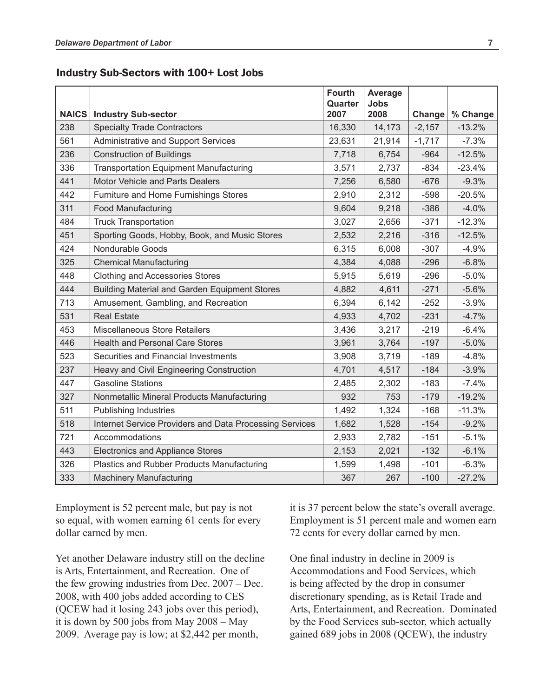#### Industry Sub-Sectors with 100+ Lost Jobs

| <b>NAICS</b> | <b>Industry Sub-sector</b>                              | <b>Fourth</b><br>Quarter<br>2007 | Average<br><b>Jobs</b><br>2008 | Change   | % Change |
|--------------|---------------------------------------------------------|----------------------------------|--------------------------------|----------|----------|
| 238          | <b>Specialty Trade Contractors</b>                      | 16,330                           | 14,173                         | $-2,157$ | $-13.2%$ |
| 561          | Administrative and Support Services                     | 23,631                           | 21,914                         | $-1,717$ | $-7.3%$  |
| 236          | <b>Construction of Buildings</b>                        | 7,718                            | 6,754                          | $-964$   | $-12.5%$ |
| 336          | <b>Transportation Equipment Manufacturing</b>           | 3,571                            | 2,737                          | $-834$   | $-23.4%$ |
| 441          | <b>Motor Vehicle and Parts Dealers</b>                  | 7,256                            | 6,580                          | $-676$   | $-9.3%$  |
| 442          | Furniture and Home Furnishings Stores                   | 2,910                            | 2,312                          | $-598$   | $-20.5%$ |
| 311          | Food Manufacturing                                      | 9,604                            | 9,218                          | $-386$   | $-4.0%$  |
| 484          | <b>Truck Transportation</b>                             | 3,027                            | 2,656                          | $-371$   | $-12.3%$ |
| 451          | Sporting Goods, Hobby, Book, and Music Stores           | 2,532                            | 2,216                          | $-316$   | $-12.5%$ |
| 424          | Nondurable Goods                                        | 6,315                            | 6,008                          | $-307$   | $-4.9%$  |
| 325          | <b>Chemical Manufacturing</b>                           | 4,384                            | 4,088                          | $-296$   | $-6.8%$  |
| 448          | <b>Clothing and Accessories Stores</b>                  | 5,915                            | 5,619                          | $-296$   | $-5.0%$  |
| 444          | <b>Building Material and Garden Equipment Stores</b>    | 4,882                            | 4,611                          | $-271$   | $-5.6%$  |
| 713          | Amusement, Gambling, and Recreation                     | 6,394                            | 6,142                          | $-252$   | $-3.9%$  |
| 531          | <b>Real Estate</b>                                      | 4,933                            | 4,702                          | $-231$   | $-4.7%$  |
| 453          | Miscellaneous Store Retailers                           | 3,436                            | 3,217                          | $-219$   | $-6.4%$  |
| 446          | <b>Health and Personal Care Stores</b>                  | 3,961                            | 3,764                          | $-197$   | $-5.0%$  |
| 523          | Securities and Financial Investments                    | 3,908                            | 3,719                          | $-189$   | $-4.8%$  |
| 237          | Heavy and Civil Engineering Construction                | 4,701                            | 4,517                          | $-184$   | $-3.9%$  |
| 447          | <b>Gasoline Stations</b>                                | 2,485                            | 2,302                          | $-183$   | $-7.4%$  |
| 327          | Nonmetallic Mineral Products Manufacturing              | 932                              | 753                            | $-179$   | $-19.2%$ |
| 511          | <b>Publishing Industries</b>                            | 1,492                            | 1,324                          | $-168$   | $-11.3%$ |
| 518          | Internet Service Providers and Data Processing Services | 1,682                            | 1,528                          | $-154$   | $-9.2%$  |
| 721          | Accommodations                                          | 2,933                            | 2,782                          | $-151$   | $-5.1%$  |
| 443          | <b>Electronics and Appliance Stores</b>                 | 2,153                            | 2,021                          | $-132$   | $-6.1%$  |
| 326          | Plastics and Rubber Products Manufacturing              | 1,599                            | 1,498                          | $-101$   | $-6.3%$  |
| 333          | <b>Machinery Manufacturing</b>                          | 367                              | 267                            | $-100$   | $-27.2%$ |

Employment is 52 percent male, but pay is not so equal, with women earning 61 cents for every dollar earned by men.

Yet another Delaware industry still on the decline is Arts, Entertainment, and Recreation. One of the few growing industries from Dec. 2007 – Dec. 2008, with 400 jobs added according to CES (QCEW had it losing 243 jobs over this period), it is down by 500 jobs from May 2008 – May 2009. Average pay is low; at \$2,442 per month,

it is 37 percent below the state's overall average. Employment is 51 percent male and women earn 72 cents for every dollar earned by men.

One final industry in decline in 2009 is Accommodations and Food Services, which is being affected by the drop in consumer discretionary spending, as is Retail Trade and Arts, Entertainment, and Recreation. Dominated by the Food Services sub-sector, which actually gained 689 jobs in 2008 (QCEW), the industry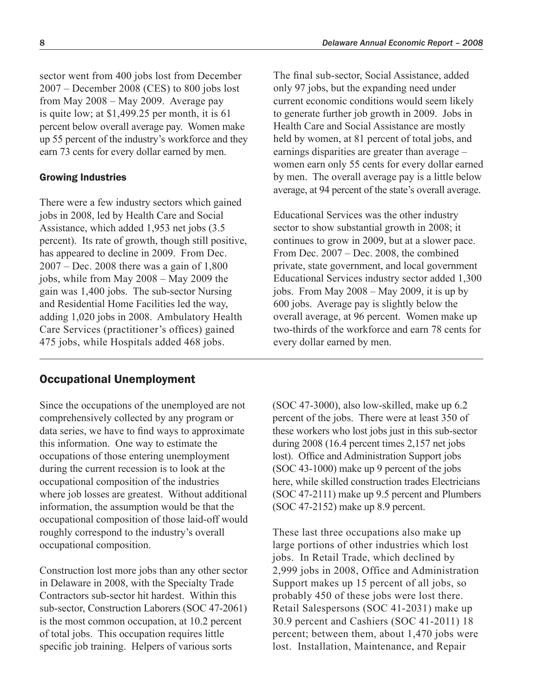sector went from 400 jobs lost from December 2007 – December 2008 (CES) to 800 jobs lost from May 2008 – May 2009. Average pay is quite low; at \$1,499.25 per month, it is 61 percent below overall average pay. Women make up 55 percent of the industry's workforce and they earn 73 cents for every dollar earned by men.

#### Growing Industries

There were a few industry sectors which gained jobs in 2008, led by Health Care and Social Assistance, which added 1,953 net jobs (3.5 percent). Its rate of growth, though still positive, has appeared to decline in 2009. From Dec. 2007 – Dec. 2008 there was a gain of 1,800 jobs, while from May 2008 – May 2009 the gain was 1,400 jobs. The sub-sector Nursing and Residential Home Facilities led the way, adding 1,020 jobs in 2008. Ambulatory Health Care Services (practitioner's offices) gained 475 jobs, while Hospitals added 468 jobs.

## Occupational Unemployment

Since the occupations of the unemployed are not comprehensively collected by any program or data series, we have to find ways to approximate this information. One way to estimate the occupations of those entering unemployment during the current recession is to look at the occupational composition of the industries where job losses are greatest. Without additional information, the assumption would be that the occupational composition of those laid-off would roughly correspond to the industry's overall occupational composition.

Construction lost more jobs than any other sector in Delaware in 2008, with the Specialty Trade Contractors sub-sector hit hardest. Within this sub-sector, Construction Laborers (SOC 47-2061) is the most common occupation, at 10.2 percent of total jobs. This occupation requires little specific job training. Helpers of various sorts

The final sub-sector, Social Assistance, added only 97 jobs, but the expanding need under current economic conditions would seem likely to generate further job growth in 2009. Jobs in Health Care and Social Assistance are mostly held by women, at 81 percent of total jobs, and earnings disparities are greater than average – women earn only 55 cents for every dollar earned by men. The overall average pay is a little below average, at 94 percent of the state's overall average.

Educational Services was the other industry sector to show substantial growth in 2008; it continues to grow in 2009, but at a slower pace. From Dec. 2007 – Dec. 2008, the combined private, state government, and local government Educational Services industry sector added 1,300 jobs. From May 2008 – May 2009, it is up by 600 jobs. Average pay is slightly below the overall average, at 96 percent. Women make up two-thirds of the workforce and earn 78 cents for every dollar earned by men.

(SOC 47-3000), also low-skilled, make up 6.2 percent of the jobs. There were at least 350 of these workers who lost jobs just in this sub-sector during 2008 (16.4 percent times 2,157 net jobs lost). Office and Administration Support jobs (SOC 43-1000) make up 9 percent of the jobs here, while skilled construction trades Electricians (SOC 47-2111) make up 9.5 percent and Plumbers (SOC 47-2152) make up 8.9 percent.

These last three occupations also make up large portions of other industries which lost jobs. In Retail Trade, which declined by 2,999 jobs in 2008, Office and Administration Support makes up 15 percent of all jobs, so probably 450 of these jobs were lost there. Retail Salespersons (SOC 41-2031) make up 30.9 percent and Cashiers (SOC 41-2011) 18 percent; between them, about 1,470 jobs were lost. Installation, Maintenance, and Repair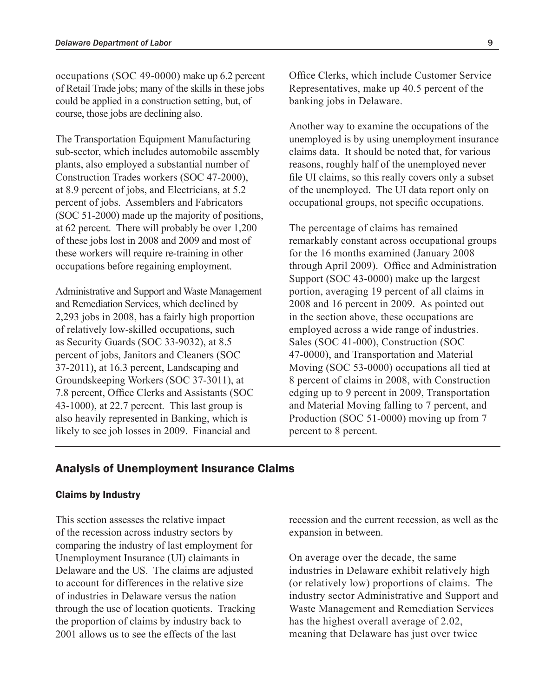occupations (SOC 49-0000) make up 6.2 percent of Retail Trade jobs; many of the skills in these jobs could be applied in a construction setting, but, of course, those jobs are declining also.

The Transportation Equipment Manufacturing sub-sector, which includes automobile assembly plants, also employed a substantial number of Construction Trades workers (SOC 47-2000), at 8.9 percent of jobs, and Electricians, at 5.2 percent of jobs. Assemblers and Fabricators (SOC 51-2000) made up the majority of positions, at 62 percent. There will probably be over 1,200 of these jobs lost in 2008 and 2009 and most of these workers will require re-training in other occupations before regaining employment.

Administrative and Support and Waste Management and Remediation Services, which declined by 2,293 jobs in 2008, has a fairly high proportion of relatively low-skilled occupations, such as Security Guards (SOC 33-9032), at 8.5 percent of jobs, Janitors and Cleaners (SOC 37-2011), at 16.3 percent, Landscaping and Groundskeeping Workers (SOC 37-3011), at 7.8 percent, Office Clerks and Assistants (SOC 43-1000), at 22.7 percent. This last group is also heavily represented in Banking, which is likely to see job losses in 2009. Financial and

Office Clerks, which include Customer Service Representatives, make up 40.5 percent of the banking jobs in Delaware.

Another way to examine the occupations of the unemployed is by using unemployment insurance claims data. It should be noted that, for various reasons, roughly half of the unemployed never file UI claims, so this really covers only a subset of the unemployed. The UI data report only on occupational groups, not specific occupations.

The percentage of claims has remained remarkably constant across occupational groups for the 16 months examined (January 2008 through April 2009). Office and Administration Support (SOC 43-0000) make up the largest portion, averaging 19 percent of all claims in 2008 and 16 percent in 2009. As pointed out in the section above, these occupations are employed across a wide range of industries. Sales (SOC 41-000), Construction (SOC 47-0000), and Transportation and Material Moving (SOC 53-0000) occupations all tied at 8 percent of claims in 2008, with Construction edging up to 9 percent in 2009, Transportation and Material Moving falling to 7 percent, and Production (SOC 51-0000) moving up from 7 percent to 8 percent.

## Analysis of Unemployment Insurance Claims

#### Claims by Industry

This section assesses the relative impact of the recession across industry sectors by comparing the industry of last employment for Unemployment Insurance (UI) claimants in Delaware and the US. The claims are adjusted to account for differences in the relative size of industries in Delaware versus the nation through the use of location quotients. Tracking the proportion of claims by industry back to 2001 allows us to see the effects of the last

recession and the current recession, as well as the expansion in between.

On average over the decade, the same industries in Delaware exhibit relatively high (or relatively low) proportions of claims. The industry sector Administrative and Support and Waste Management and Remediation Services has the highest overall average of 2.02, meaning that Delaware has just over twice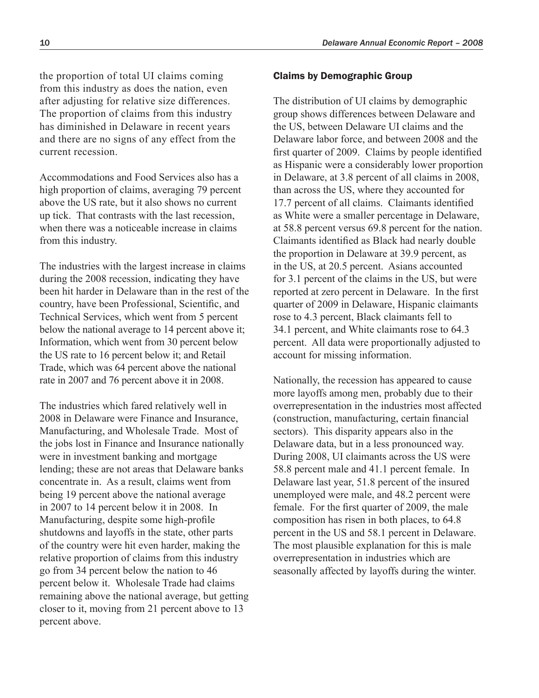the proportion of total UI claims coming from this industry as does the nation, even after adjusting for relative size differences. The proportion of claims from this industry has diminished in Delaware in recent years and there are no signs of any effect from the current recession.

Accommodations and Food Services also has a high proportion of claims, averaging 79 percent above the US rate, but it also shows no current up tick. That contrasts with the last recession, when there was a noticeable increase in claims from this industry.

The industries with the largest increase in claims during the 2008 recession, indicating they have been hit harder in Delaware than in the rest of the country, have been Professional, Scientific, and Technical Services, which went from 5 percent below the national average to 14 percent above it; Information, which went from 30 percent below the US rate to 16 percent below it; and Retail Trade, which was 64 percent above the national rate in 2007 and 76 percent above it in 2008.

The industries which fared relatively well in 2008 in Delaware were Finance and Insurance, Manufacturing, and Wholesale Trade. Most of the jobs lost in Finance and Insurance nationally were in investment banking and mortgage lending; these are not areas that Delaware banks concentrate in. As a result, claims went from being 19 percent above the national average in 2007 to 14 percent below it in 2008. In Manufacturing, despite some high-profile shutdowns and layoffs in the state, other parts of the country were hit even harder, making the relative proportion of claims from this industry go from 34 percent below the nation to 46 percent below it. Wholesale Trade had claims remaining above the national average, but getting closer to it, moving from 21 percent above to 13 percent above.

#### Claims by Demographic Group

The distribution of UI claims by demographic group shows differences between Delaware and the US, between Delaware UI claims and the Delaware labor force, and between 2008 and the first quarter of 2009. Claims by people identified as Hispanic were a considerably lower proportion in Delaware, at 3.8 percent of all claims in 2008, than across the US, where they accounted for 17.7 percent of all claims. Claimants identified as White were a smaller percentage in Delaware, at 58.8 percent versus 69.8 percent for the nation. Claimants identified as Black had nearly double the proportion in Delaware at 39.9 percent, as in the US, at 20.5 percent. Asians accounted for 3.1 percent of the claims in the US, but were reported at zero percent in Delaware. In the first quarter of 2009 in Delaware, Hispanic claimants rose to 4.3 percent, Black claimants fell to 34.1 percent, and White claimants rose to 64.3 percent. All data were proportionally adjusted to account for missing information.

Nationally, the recession has appeared to cause more layoffs among men, probably due to their overrepresentation in the industries most affected (construction, manufacturing, certain financial sectors). This disparity appears also in the Delaware data, but in a less pronounced way. During 2008, UI claimants across the US were 58.8 percent male and 41.1 percent female. In Delaware last year, 51.8 percent of the insured unemployed were male, and 48.2 percent were female. For the first quarter of 2009, the male composition has risen in both places, to 64.8 percent in the US and 58.1 percent in Delaware. The most plausible explanation for this is male overrepresentation in industries which are seasonally affected by layoffs during the winter.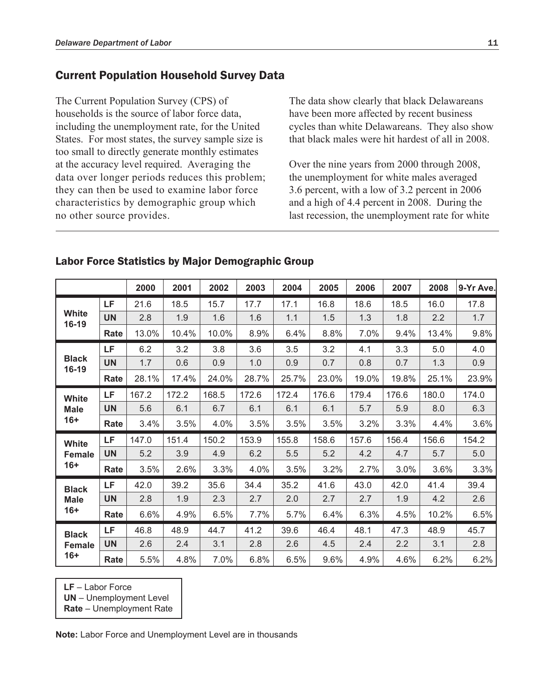## Current Population Household Survey Data

The Current Population Survey (CPS) of households is the source of labor force data, including the unemployment rate, for the United States. For most states, the survey sample size is too small to directly generate monthly estimates at the accuracy level required. Averaging the data over longer periods reduces this problem; they can then be used to examine labor force characteristics by demographic group which no other source provides.

The data show clearly that black Delawareans have been more affected by recent business cycles than white Delawareans. They also show that black males were hit hardest of all in 2008.

Over the nine years from 2000 through 2008, the unemployment for white males averaged 3.6 percent, with a low of 3.2 percent in 2006 and a high of 4.4 percent in 2008. During the last recession, the unemployment rate for white

|                                        |           | 2000  | 2001  | 2002  | 2003  | 2004  | 2005  | 2006  | 2007  | 2008  | 9-Yr Ave. |
|----------------------------------------|-----------|-------|-------|-------|-------|-------|-------|-------|-------|-------|-----------|
| White<br>16-19                         | LF.       | 21.6  | 18.5  | 15.7  | 17.7  | 17.1  | 16.8  | 18.6  | 18.5  | 16.0  | 17.8      |
|                                        | <b>UN</b> | 2.8   | 1.9   | 1.6   | 1.6   | 1.1   | 1.5   | 1.3   | 1.8   | 2.2   | 1.7       |
|                                        | Rate      | 13.0% | 10.4% | 10.0% | 8.9%  | 6.4%  | 8.8%  | 7.0%  | 9.4%  | 13.4% | 9.8%      |
| <b>Black</b><br>16-19                  | <b>LF</b> | 6.2   | 3.2   | 3.8   | 3.6   | 3.5   | 3.2   | 4.1   | 3.3   | 5.0   | 4.0       |
|                                        | <b>UN</b> | 1.7   | 0.6   | 0.9   | 1.0   | 0.9   | 0.7   | 0.8   | 0.7   | 1.3   | 0.9       |
|                                        | Rate      | 28.1% | 17.4% | 24.0% | 28.7% | 25.7% | 23.0% | 19.0% | 19.8% | 25.1% | 23.9%     |
| <b>White</b><br><b>Male</b><br>$16+$   | LF        | 167.2 | 172.2 | 168.5 | 172.6 | 172.4 | 176.6 | 179.4 | 176.6 | 180.0 | 174.0     |
|                                        | <b>UN</b> | 5.6   | 6.1   | 6.7   | 6.1   | 6.1   | 6.1   | 5.7   | 5.9   | 8.0   | 6.3       |
|                                        | Rate      | 3.4%  | 3.5%  | 4.0%  | 3.5%  | 3.5%  | 3.5%  | 3.2%  | 3.3%  | 4.4%  | 3.6%      |
| <b>White</b><br><b>Female</b><br>$16+$ | LF        | 147.0 | 151.4 | 150.2 | 153.9 | 155.8 | 158.6 | 157.6 | 156.4 | 156.6 | 154.2     |
|                                        | <b>UN</b> | 5.2   | 3.9   | 4.9   | 6.2   | 5.5   | 5.2   | 4.2   | 4.7   | 5.7   | 5.0       |
|                                        | Rate      | 3.5%  | 2.6%  | 3.3%  | 4.0%  | 3.5%  | 3.2%  | 2.7%  | 3.0%  | 3.6%  | 3.3%      |
| <b>Black</b><br><b>Male</b><br>$16+$   | LF        | 42.0  | 39.2  | 35.6  | 34.4  | 35.2  | 41.6  | 43.0  | 42.0  | 41.4  | 39.4      |
|                                        | <b>UN</b> | 2.8   | 1.9   | 2.3   | 2.7   | 2.0   | 2.7   | 2.7   | 1.9   | 4.2   | 2.6       |
|                                        | Rate      | 6.6%  | 4.9%  | 6.5%  | 7.7%  | 5.7%  | 6.4%  | 6.3%  | 4.5%  | 10.2% | 6.5%      |
| <b>Black</b><br><b>Female</b><br>$16+$ | LF        | 46.8  | 48.9  | 44.7  | 41.2  | 39.6  | 46.4  | 48.1  | 47.3  | 48.9  | 45.7      |
|                                        | <b>UN</b> | 2.6   | 2.4   | 3.1   | 2.8   | 2.6   | 4.5   | 2.4   | 2.2   | 3.1   | 2.8       |
|                                        | Rate      | 5.5%  | 4.8%  | 7.0%  | 6.8%  | 6.5%  | 9.6%  | 4.9%  | 4.6%  | 6.2%  | 6.2%      |

## Labor Force Statistics by Major Demographic Group

**LF** – Labor Force

**UN** – Unemployment Level

**Rate** – Unemployment Rate

**Note:** Labor Force and Unemployment Level are in thousands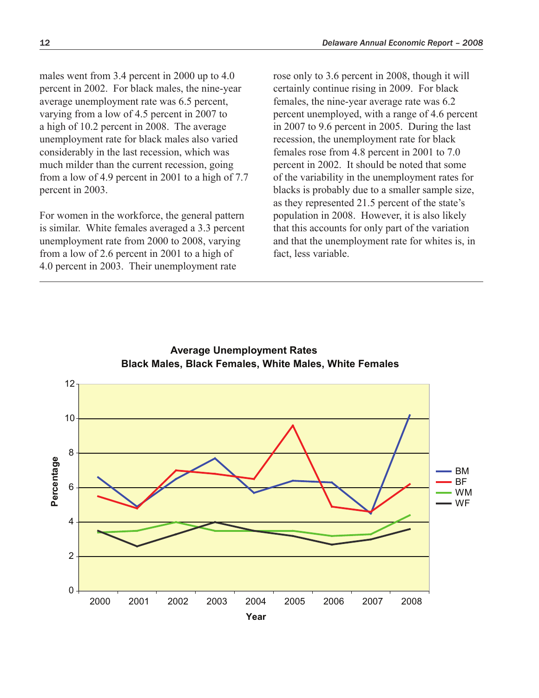males went from 3.4 percent in 2000 up to 4.0 percent in 2002. For black males, the nine-year average unemployment rate was 6.5 percent, varying from a low of 4.5 percent in 2007 to a high of 10.2 percent in 2008. The average unemployment rate for black males also varied considerably in the last recession, which was much milder than the current recession, going from a low of 4.9 percent in 2001 to a high of 7.7 percent in 2003.

For women in the workforce, the general pattern is similar. White females averaged a 3.3 percent unemployment rate from 2000 to 2008, varying from a low of 2.6 percent in 2001 to a high of 4.0 percent in 2003. Their unemployment rate

rose only to 3.6 percent in 2008, though it will certainly continue rising in 2009. For black females, the nine-year average rate was 6.2 percent unemployed, with a range of 4.6 percent in 2007 to 9.6 percent in 2005. During the last recession, the unemployment rate for black females rose from 4.8 percent in 2001 to 7.0 percent in 2002. It should be noted that some of the variability in the unemployment rates for blacks is probably due to a smaller sample size, as they represented 21.5 percent of the state's population in 2008. However, it is also likely that this accounts for only part of the variation and that the unemployment rate for whites is, in fact, less variable.



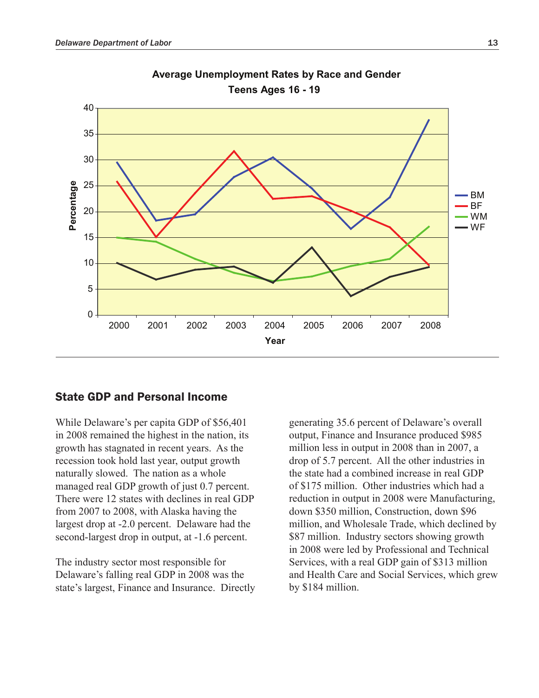

**Average Unemployment Rates by Race and Gender Teens Ages 16 - 19**

#### State GDP and Personal Income

While Delaware's per capita GDP of \$56,401 in 2008 remained the highest in the nation, its growth has stagnated in recent years. As the recession took hold last year, output growth naturally slowed. The nation as a whole managed real GDP growth of just 0.7 percent. There were 12 states with declines in real GDP from 2007 to 2008, with Alaska having the largest drop at -2.0 percent. Delaware had the second-largest drop in output, at -1.6 percent.

The industry sector most responsible for Delaware's falling real GDP in 2008 was the state's largest, Finance and Insurance. Directly generating 35.6 percent of Delaware's overall output, Finance and Insurance produced \$985 million less in output in 2008 than in 2007, a drop of 5.7 percent. All the other industries in the state had a combined increase in real GDP of \$175 million. Other industries which had a reduction in output in 2008 were Manufacturing, down \$350 million, Construction, down \$96 million, and Wholesale Trade, which declined by \$87 million. Industry sectors showing growth in 2008 were led by Professional and Technical Services, with a real GDP gain of \$313 million and Health Care and Social Services, which grew by \$184 million.